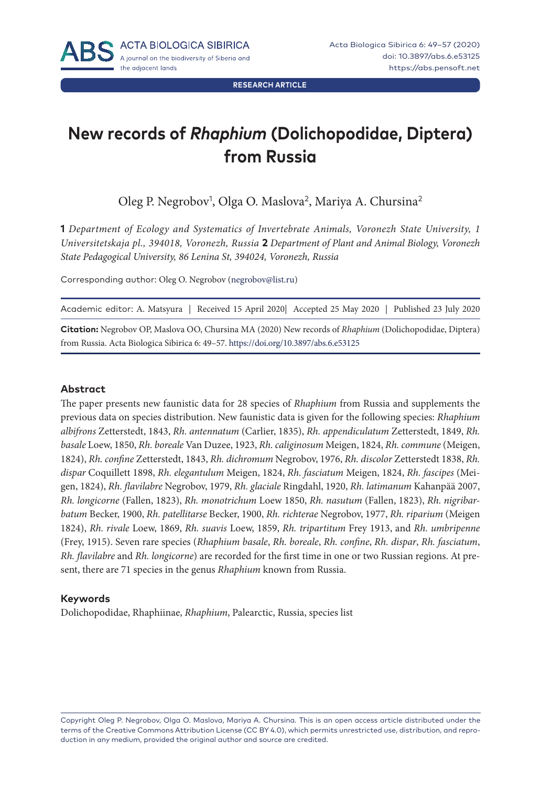**RESEARCH ARTICLE**

# **New records of** *Rhaphium* **(Dolichopodidae, Diptera) from Russia**

Oleg P. Negrobov<sup>1</sup>, Olga O. Maslova<sup>2</sup>, Mariya A. Chursina<sup>2</sup>

**1** *Department of Ecology and Systematics of Invertebrate Animals, Voronezh State University, 1 Universitetskaja pl., 394018, Voronezh, Russia* **2** *Department of Plant and Animal Biology, Voronezh State Pedagogical University, 86 Lenina St, 394024, Voronezh, Russia*

Corresponding author: Oleg O. Negrobov ([negrobov@list.ru\)](mailto:negrobov@list.ru)

Academic editor: A. Matsyura | Received 15 April 2020| Accepted 25 May 2020 | Published 23 July 2020

**Citation:** Negrobov OP, Maslova OO, Chursina MA (2020) New records of *Rhaphium* (Dolichopodidae, Diptera) from Russia. Acta Biologica Sibirica 6: 49–57.<https://doi.org/10.3897/abs.6.e53125>

#### **Abstract**

The paper presents new faunistic data for 28 species of *Rhaphium* from Russia and supplements the previous data on species distribution. New faunistic data is given for the following species: *Rhaphium albifrons* Zetterstedt, 1843, *Rh. antennatum* (Carlier, 1835), *Rh. appendiculatum* Zetterstedt, 1849, *Rh. basale* Loew, 1850, *Rh. boreale* Van Duzee, 1923, *Rh. caliginosum* Meigen, 1824, *Rh. commune* (Meigen, 1824), *Rh. confine* Zetterstedt, 1843, *Rh. dichromum* Negrobov, 1976, *Rh. discolor* Zetterstedt 1838, *Rh. dispar* Coquillett 1898, *Rh. elegantulum* Meigen, 1824, *Rh. fasciatum* Meigen, 1824, *Rh. fascipes* (Meigen, 1824), *Rh. flavilabre* Negrobov, 1979, *Rh. glaciale* Ringdahl, 1920, *Rh. latimanum* Kahanpää 2007, *Rh. longicorne* (Fallen, 1823), *Rh. monotrichum* Loew 1850, *Rh. nasutum* (Fallen, 1823), *Rh. nigribarbatum* Becker, 1900, *Rh. patellitarse* Becker, 1900, *Rh. richterae* Negrobov, 1977, *Rh. riparium* (Meigen 1824), *Rh. rivale* Loew, 1869, *Rh. suavis* Loew, 1859, *Rh. tripartitum* Frey 1913, and *Rh. umbripenne*  (Frey, 1915). Seven rare species (*Rhaphium basale*, *Rh. boreale*, *Rh. confine*, *Rh. dispar*, *Rh. fasciatum*, *Rh. flavilabre* and *Rh. longicorne*) are recorded for the first time in one or two Russian regions. At present, there are 71 species in the genus *Rhaphium* known from Russia.

#### **Keywords**

Dolichopodidae, Rhaphiinae, *Rhaphium*, Palearctic, Russia, species list

Copyright Oleg P. Negrobov, Olga O. Maslova, Mariya A. Chursina*.* This is an open access article distributed under the terms of the [Creative Commons Attribution License \(CC BY 4.0\)](http://creativecommons.org/licenses/by/4.0/), which permits unrestricted use, distribution, and reproduction in any medium, provided the original author and source are credited.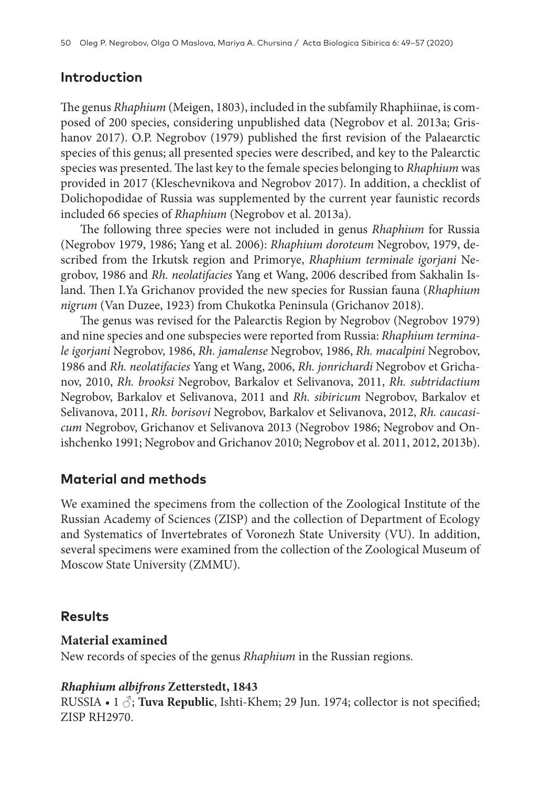### **Introduction**

The genus *Rhaphium* (Meigen, 1803), included in the subfamily Rhaphiinae, is composed of 200 species, considering unpublished data (Negrobov et al. 2013a; Grishanov 2017). O.P. Negrobov (1979) published the first revision of the Palaearctic species of this genus; all presented species were described, and key to the Palearctic species was presented. The last key to the female species belonging to *Rhaphium* was provided in 2017 (Kleschevnikova and Negrobov 2017). In addition, a checklist of Dolichopodidae of Russia was supplemented by the current year faunistic records included 66 species of *Rhaphium* (Negrobov et al. 2013a).

The following three species were not included in genus *Rhaphium* for Russia (Negrobov 1979, 1986; Yang et al. 2006): *Rhaphium doroteum* Negrobov, 1979, described from the Irkutsk region and Primorye, *Rhaphium terminale igorjani* Negrobov, 1986 and *Rh. neolatifacies* Yang et Wang, 2006 described from Sakhalin Island. Then I.Ya Grichanov provided the new species for Russian fauna (*Rhaphium nigrum* (Van Duzee, 1923) from Chukotka Peninsula (Grichanov 2018).

The genus was revised for the Palearctis Region by Negrobov (Negrobov 1979) and nine species and one subspecies were reported from Russia: *Rhaphium terminale igorjani* Negrobov, 1986, *Rh. jamalense* Negrobov, 1986, *Rh. macalpini* Negrobov, 1986 and *Rh. neolatifacies* Yang et Wang, 2006, *Rh. jonrichardi* Negrobov et Grichanov, 2010, *Rh. brooksi* Negrobov, Barkalov et Selivanova, 2011, *Rh. subtridactium* Negrobov, Barkalov et Selivanova, 2011 and *Rh. sibiricum* Negrobov, Barkalov et Selivanova, 2011, *Rh. borisovi* Negrobov, Barkalov et Selivanova, 2012, *Rh. caucasicum* Negrobov, Grichanov et Selivanova 2013 (Negrobov 1986; Negrobov and Onishchenko 1991; Negrobov and Grichanov 2010; Negrobov et al. 2011, 2012, 2013b).

### **Material and methods**

We examined the specimens from the collection of the Zoological Institute of the Russian Academy of Sciences (ZISP) and the collection of Department of Ecology and Systematics of Invertebrates of Voronezh State University (VU). In addition, several specimens were examined from the collection of the Zoological Museum of Moscow State University (ZMMU).

### **Results**

### **Material examined**

New records of species of the genus *Rhaphium* in the Russian regions.

### *Rhaphium albifrons* **Zetterstedt, 1843**

RUSSIA • 1  $\Diamond$ ; **Tuva Republic**, Ishti-Khem; 29 Jun. 1974; collector is not specified; ZISP RH2970.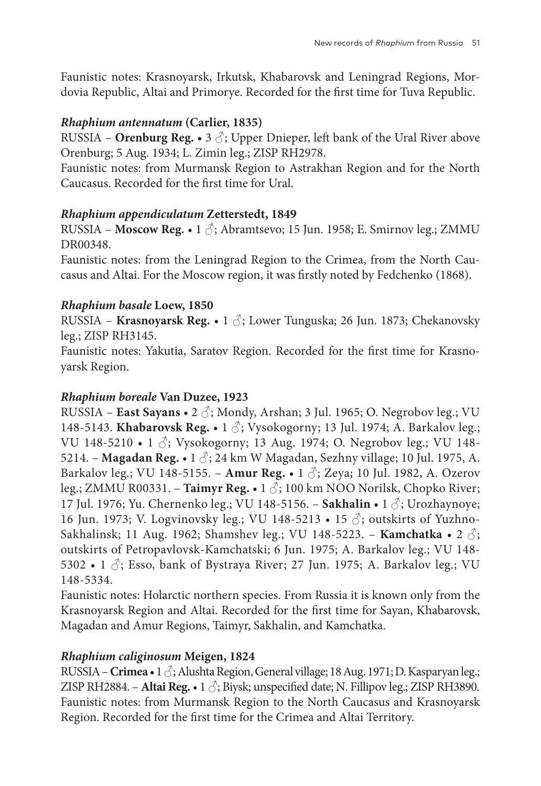Faunistic notes: Krasnoyarsk, Irkutsk, Khabarovsk and Leningrad Regions, Mordovia Republic, Altai and Primorye. Recorded for the first time for Tuva Republic.

### *Rhaphium antennatum* **(Carlier, 1835)**

RUSSIA – **Orenburg Reg.** • 3  $\Diamond$ ; Upper Dnieper, left bank of the Ural River above Orenburg; 5 Aug. 1934; L. Zimin leg.; ZISP RH2978.

Faunistic notes: from Murmansk Region to Astrakhan Region and for the North Caucasus. Recorded for the first time for Ural.

### *Rhaphium appendiculatum* **Zetterstedt, 1849**

RUSSIA – **Moscow Reg.** • 1 ♂; Abramtsevo; 15 Jun. 1958; E. Smirnov leg.; ZMMU DR00348.

Faunistic notes: from the Leningrad Region to the Crimea, from the North Caucasus and Altai. For the Moscow region, it was firstly noted by Fedchenko (1868).

### *Rhaphium basale* **Loew, 1850**

RUSSIA – **Krasnoyarsk Reg.** • 1 ♂; Lower Tunguska; 26 Jun. 1873; Chekanovsky leg.; ZISP RH3145.

Faunistic notes: Yakutia, Saratov Region. Recorded for the first time for Krasnoyarsk Region.

### *Rhaphium boreale* **Van Duzee, 1923**

RUSSIA – **East Sayans** • 2 ♂; Mondy, Arshan; 3 Jul. 1965; O. Negrobov leg.; VU 148-5143. **Khabarovsk Reg.** • 1 ♂; Vysokogorny; 13 Jul. 1974; A. Barkalov leg.; VU 148-5210 • 1  $\Diamond$ ; Vysokogorny; 13 Aug. 1974; O. Negrobov leg.; VU 148-5214. – **Magadan Reg.** • 1 ♂; 24 km W Magadan, Sezhny village; 10 Jul. 1975, A. Barkalov leg.; VU 148-5155. – **Amur Reg.** • 1 ♂; Zeya; 10 Jul. 1982, A. Ozerov leg.; ZMMU R00331. − **Taimyr Reg. •** 1 3; 100 km NOO Norilsk, Chopko River; 17 Jul. 1976; Yu. Chernenko leg.; VU 148-5156. – **Sakhalin** • 1 ♂; Urozhaynoye; 16 Jun. 1973; V. Logvinovsky leg.; VU 148-5213 • 15  $\delta$ ; outskirts of Yuzhno-Sakhalinsk; 11 Aug. 1962; Shamshev leg.; VU 148-5223. – **Kamchatka** • 2 ♂; outskirts of Petropavlovsk-Kamchatski; 6 Jun. 1975; A. Barkalov leg.; VU 148- 5302 • 1  $\Diamond$ ; Esso, bank of Bystraya River; 27 Jun. 1975; A. Barkalov leg.; VU 148-5334.

Faunistic notes: Holarctic northern species. From Russia it is known only from the Krasnoyarsk Region and Altai. Recorded for the first time for Sayan, Khabarovsk, Magadan and Amur Regions, Taimyr, Sakhalin, and Kamchatka.

### *Rhaphium caliginosum* **Meigen, 1824**

RUSSIA – **Crimea** • 1 ♂; Alushta Region, General village; 18 Aug. 1971; D. Kasparyan leg.; ZISP RH2884. – **Altai Reg.** • 1  $\Diamond$ ; Biysk; unspecified date; N. Fillipov leg.; ZISP RH3890. Faunistic notes: from Murmansk Region to the North Caucasus and Krasnoyarsk Region. Recorded for the first time for the Crimea and Altai Territory.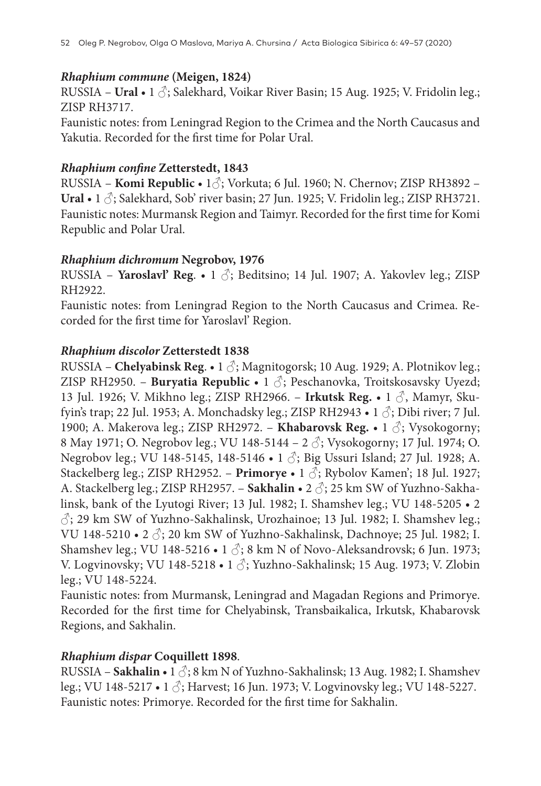### *Rhaphium commune* **(Meigen, 1824)**

RUSSIA – **Ural** • 1  $\triangle$ ; Salekhard, Voikar River Basin; 15 Aug. 1925; V. Fridolin leg.; ZISP RH3717.

Faunistic notes: from Leningrad Region to the Crimea and the North Caucasus and Yakutia. Recorded for the first time for Polar Ural.

### *Rhaphium confine* **Zetterstedt, 1843**

RUSSIA – **Komi Republic** • 1♂; Vorkuta; 6 Jul. 1960; N. Chernov; ZISP RH3892 – **Ural** • 1  $\circ$ ; Salekhard, Sob' river basin; 27 Jun. 1925; V. Fridolin leg.; ZISP RH3721. Faunistic notes: Murmansk Region and Taimyr. Recorded for the first time for Komi Republic and Polar Ural.

### *Rhaphium dichromum* **Negrobov, 1976**

RUSSIA – **Yaroslavl' Reg**. • 1 ♂; Beditsino; 14 Jul. 1907; A. Yakovlev leg.; ZISP RH2922.

Faunistic notes: from Leningrad Region to the North Caucasus and Crimea. Recorded for the first time for Yaroslavl' Region.

### *Rhaphium discolor* **Zetterstedt 1838**

RUSSIA – **Chelyabinsk Reg**. • 1 ♂; Magnitogorsk; 10 Aug. 1929; A. Plotnikov leg.; ZISP RH2950. – **Buryatia Republic** • 1 ♂; Peschanovka, Troitskosavsky Uyezd; 13 Jul. 1926; V. Mikhno leg.; ZISP RH2966. – **Irkutsk Reg.** • 1 ♂, Mamyr, Skufyin's trap; 22 Jul. 1953; A. Monchadsky leg.; ZISP RH2943 • 1  $\Diamond$ ; Dibi river; 7 Jul. 1900; A. Makerova leg.; ZISP RH2972. – **Khabarovsk Reg.** • 1 ♂; Vysokogorny; 8 May 1971; O. Negrobov leg.; VU 148-5144 − 2 3; Vysokogorny; 17 Jul. 1974; O. Negrobov leg.; VU 148-5145, 148-5146 • 1 ♂; Big Ussuri Island; 27 Jul. 1928; A. Stackelberg leg.; ZISP RH2952. – **Primorye** • 1 ♂; Rybolov Kamen'; 18 Jul. 1927; A. Stackelberg leg.; ZISP RH2957. – **Sakhalin** • 2 ♂; 25 km SW of Yuzhno-Sakhalinsk, bank of the Lyutogi River; 13 Jul. 1982; I. Shamshev leg.; VU 148-5205 • 2 ♂; 29 km SW of Yuzhno-Sakhalinsk, Urozhainoe; 13 Jul. 1982; I. Shamshev leg.; VU 148-5210 • 2 ♂; 20 km SW of Yuzhno-Sakhalinsk, Dachnoye; 25 Jul. 1982; I. Shamshev leg.; VU 148-5216 • 1  $\Diamond$ ; 8 km N of Novo-Aleksandrovsk; 6 Jun. 1973; V. Logvinovsky; VU 148-5218 • 1 ♂; Yuzhno-Sakhalinsk; 15 Aug. 1973; V. Zlobin leg.; VU 148-5224.

Faunistic notes: from Murmansk, Leningrad and Magadan Regions and Primorye. Recorded for the first time for Chelyabinsk, Transbaikalica, Irkutsk, Khabarovsk Regions, and Sakhalin.

### *Rhaphium dispar* **Coquillett 1898**.

RUSSIA – **Sakhalin** • 1 ♂; 8 km N of Yuzhno-Sakhalinsk; 13 Aug. 1982; I. Shamshev leg.; VU 148-5217 • 1  $\Diamond$ ; Harvest; 16 Jun. 1973; V. Logvinovsky leg.; VU 148-5227. Faunistic notes: Primorye. Recorded for the first time for Sakhalin.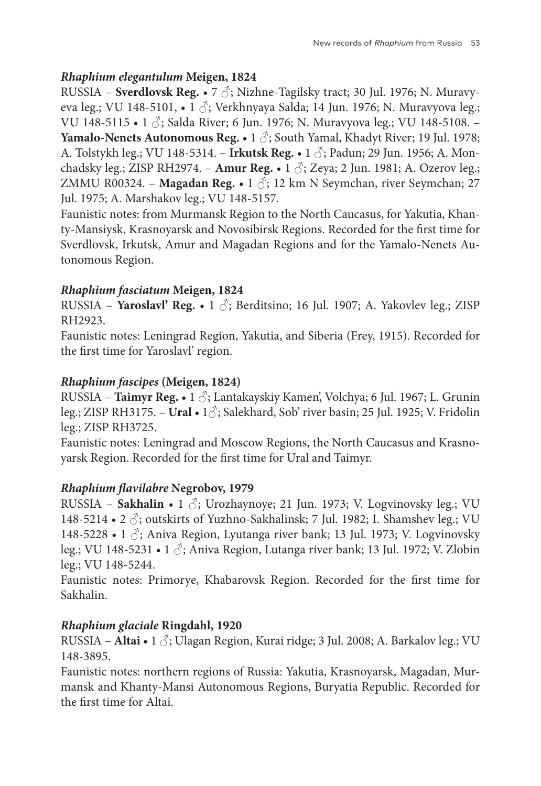### *Rhaphium elegantulum* **Meigen, 1824**

RUSSIA – **Sverdlovsk Reg.** • 7 ♂; Nizhne-Tagilsky tract; 30 Jul. 1976; N. Muravyeva leg.; VU 148-5101,  $\bullet$  1  $\circ$ ; Verkhnyaya Salda; 14 Jun. 1976; N. Muravyova leg.; VU 148-5115 • 1 3; Salda River; 6 Jun. 1976; N. Muravyova leg.; VU 148-5108. -**Yamalo-Nenets Autonomous Reg.** • 1 ♂; South Yamal, Khadyt River; 19 Jul. 1978; A. Tolstykh leg.; VU 148-5314. – **Irkutsk Reg.** • 1 ♂; Padun; 29 Jun. 1956; A. Monchadsky leg.; ZISP RH2974. – **Amur Reg.** • 1 ♂; Zeya; 2 Jun. 1981; A. Ozerov leg.; ZMMU R00324. – **Magadan Reg.** • 1  $\delta$ ; 12 km N Seymchan, river Seymchan; 27 Jul. 1975; A. Marshakov leg.; VU 148-5157.

Faunistic notes: from Murmansk Region to the North Caucasus, for Yakutia, Khanty-Mansiysk, Krasnoyarsk and Novosibirsk Regions. Recorded for the first time for Sverdlovsk, Irkutsk, Amur and Magadan Regions and for the Yamalo-Nenets Autonomous Region.

### *Rhaphium fasciatum* **Meigen, 1824**

RUSSIA – **Yaroslavl' Reg.** • 1 ♂; Berditsino; 16 Jul. 1907; A. Yakovlev leg.; ZISP RH2923.

Faunistic notes: Leningrad Region, Yakutia, and Siberia (Frey, 1915). Recorded for the first time for Yaroslavl' region.

# *Rhaphium fascipes* **(Meigen, 1824)**

RUSSIA – **Taimyr Reg.** • 1 ♂; Lantakayskiy Kamen', Volchya; 6 Jul. 1967; L. Grunin leg.; ZISP RH3175. – **Ural** • 1♂; Salekhard, Sob' river basin; 25 Jul. 1925; V. Fridolin leg.; ZISP RH3725.

Faunistic notes: Leningrad and Moscow Regions, the North Caucasus and Krasnoyarsk Region. Recorded for the first time for Ural and Taimyr.

### *Rhaphium flavilabre* **Negrobov, 1979**

RUSSIA - Sakhalin • 1  $\hat{\circ}$ ; Urozhaynoye; 21 Jun. 1973; V. Logvinovsky leg.; VU 148-5214 • 2  $\Diamond$ ; outskirts of Yuzhno-Sakhalinsk; 7 Jul. 1982; I. Shamshev leg.; VU 148-5228 • 1  $\Diamond$ ; Aniva Region, Lyutanga river bank; 13 Jul. 1973; V. Logvinovsky leg.; VU 148-5231 • 1  $\Diamond$ ; Aniva Region, Lutanga river bank; 13 Jul. 1972; V. Zlobin leg.; VU 148-5244.

Faunistic notes: Primorye, Khabarovsk Region. Recorded for the first time for Sakhalin.

# *Rhaphium glaciale* **Ringdahl, 1920**

RUSSIA – **Altai** • 1 ♂; Ulagan Region, Kurai ridge; 3 Jul. 2008; A. Barkalov leg.; VU 148-3895.

Faunistic notes: northern regions of Russia: Yakutia, Krasnoyarsk, Magadan, Murmansk and Khanty-Mansi Autonomous Regions, Buryatia Republic. Recorded for the first time for Altai.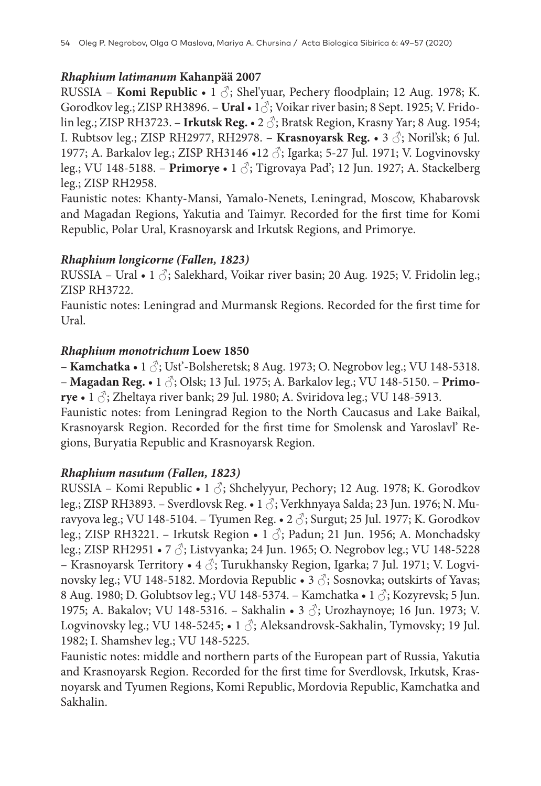### *Rhaphium latimanum* **Kahanpää 2007**

RUSSIA – **Komi Republic** • 1 ♂; Shel'yuar, Pechery floodplain; 12 Aug. 1978; K. Gorodkov leg.; ZISP RH3896. – **Ural** • 1♂; Voikar river basin; 8 Sept. 1925; V. Fridolin leg.; ZISP RH3723. – **Irkutsk Reg.** • 2 ♂; Bratsk Region, Krasny Yar; 8 Aug. 1954; I. Rubtsov leg.; ZISP RH2977, RH2978. – **Krasnoyarsk Reg.** • 3 ♂; Noril'sk; 6 Jul. 1977; A. Barkalov leg.; ZISP RH3146 •12 ♂; Igarka; 5-27 Jul. 1971; V. Logvinovsky leg.; VU 148-5188. – **Primorye** • 1 ♂; Tigrovaya Pad'; 12 Jun. 1927; A. Stackelberg leg.; ZISP RH2958.

Faunistic notes: Khanty-Mansi, Yamalo-Nenets, Leningrad, Moscow, Khabarovsk and Magadan Regions, Yakutia and Taimyr. Recorded for the first time for Komi Republic, Polar Ural, Krasnoyarsk and Irkutsk Regions, and Primorye.

### *Rhaphium longicorne (Fallen, 1823)*

RUSSIA – Ural • 1  $\Diamond$ ; Salekhard, Voikar river basin; 20 Aug. 1925; V. Fridolin leg.; ZISP RH3722.

Faunistic notes: Leningrad and Murmansk Regions. Recorded for the first time for Ural.

### *Rhaphium monotrichum* **Loew 1850**

– **Kamchatka** • 1 ♂; Ust'-Bolsheretsk; 8 Aug. 1973; O. Negrobov leg.; VU 148-5318. – **Magadan Reg.** • 1 ♂; Olsk; 13 Jul. 1975; A. Barkalov leg.; VU 148-5150. – **Primorye** • 1 ♂; Zheltaya river bank; 29 Jul. 1980; A. Sviridova leg.; VU 148-5913.

Faunistic notes: from Leningrad Region to the North Caucasus and Lake Baikal, Krasnoyarsk Region. Recorded for the first time for Smolensk and Yaroslavl' Regions, Buryatia Republic and Krasnoyarsk Region.

# *Rhaphium nasutum (Fallen, 1823)*

RUSSIA – Komi Republic • 1  $\Diamond$ ; Shchelyyur, Pechory; 12 Aug. 1978; K. Gorodkov leg.; ZISP RH3893. – Sverdlovsk Reg. • 1 ♂; Verkhnyaya Salda; 23 Jun. 1976; N. Muravyova leg.; VU 148-5104. – Tyumen Reg.  $\bullet$  2  $\circ$ ; Surgut; 25 Jul. 1977; K. Gorodkov leg.; ZISP RH3221. – Irkutsk Region • 1 ♂; Padun; 21 Jun. 1956; A. Monchadsky leg.; ZISP RH2951 • 7 ♂; Listvyanka; 24 Jun. 1965; O. Negrobov leg.; VU 148-5228 – Krasnoyarsk Territory • 4 ♂; Turukhansky Region, Igarka; 7 Jul. 1971; V. Logvinovsky leg.; VU 148-5182. Mordovia Republic • 3  $\Diamond$ ; Sosnovka; outskirts of Yavas; 8 Aug. 1980; D. Golubtsov leg.; VU 148-5374. – Kamchatka • 1  $\Diamond$ ; Kozyrevsk; 5 Jun. 1975; A. Bakalov; VU 148-5316. – Sakhalin • 3  $\Im$ ; Urozhaynoye; 16 Jun. 1973; V. Logvinovsky leg.; VU 148-5245; • 1 ♂; Aleksandrovsk-Sakhalin, Tymovsky; 19 Jul. 1982; I. Shamshev leg.; VU 148-5225.

Faunistic notes: middle and northern parts of the European part of Russia, Yakutia and Krasnoyarsk Region. Recorded for the first time for Sverdlovsk, Irkutsk, Krasnoyarsk and Tyumen Regions, Komi Republic, Mordovia Republic, Kamchatka and Sakhalin.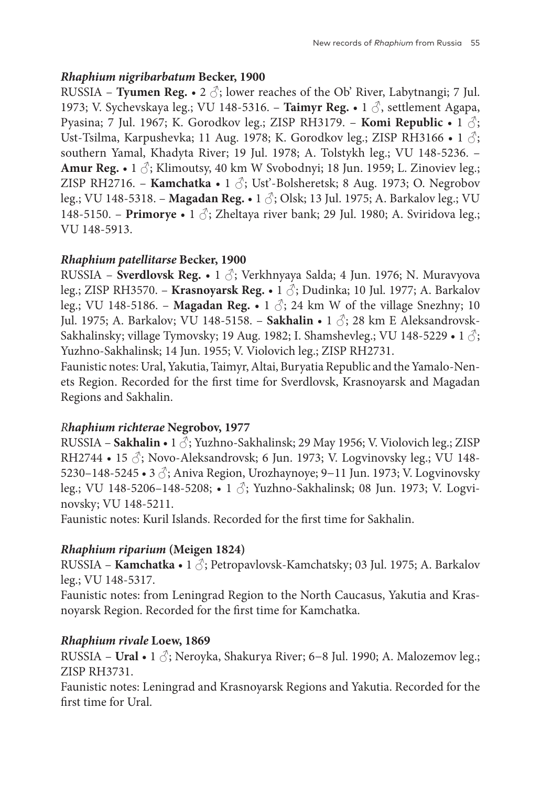### *Rhaphium nigribarbatum* **Becker, 1900**

RUSSIA – **Tyumen Reg.** • 2  $\Diamond$ ; lower reaches of the Ob' River, Labytnangi; 7 Jul. 1973; V. Sychevskaya leg.; VU 148-5316. – **Taimyr Reg.** • 1 ♂, settlement Agapa, Pyasina; 7 Jul. 1967; K. Gorodkov leg.; ZISP RH3179. – **Komi Republic** • 1 ♂; Ust-Tsilma, Karpushevka; 11 Aug. 1978; K. Gorodkov leg.; ZISP RH3166 • 1  $\Diamond$ ; southern Yamal, Khadyta River; 19 Jul. 1978; A. Tolstykh leg.; VU 148-5236. – **Amur Reg.** •  $1 \circled{?}$ ; Klimoutsy, 40 km W Svobodnyi; 18 Jun. 1959; L. Zinoviev leg.; ZISP RH2716. – **Kamchatka** • 1 ♂; Ust'-Bolsheretsk; 8 Aug. 1973; O. Negrobov leg.; VU 148-5318. – **Magadan Reg.** • 1 ♂; Olsk; 13 Jul. 1975; A. Barkalov leg.; VU 148-5150. – **Primorye** • 1 ♂; Zheltaya river bank; 29 Jul. 1980; A. Sviridova leg.; VU 148-5913.

### *Rhaphium patellitarse* **Becker, 1900**

RUSSIA – **Sverdlovsk Reg.** • 1 ♂; Verkhnyaya Salda; 4 Jun. 1976; N. Muravyova leg.; ZISP RH3570. – **Krasnoyarsk Reg.** • 1 ♂; Dudinka; 10 Jul. 1977; A. Barkalov leg.; VU 148-5186. – **Magadan Reg.** • 1  $\Diamond$ ; 24 km W of the village Snezhny; 10 Jul. 1975; A. Barkalov; VU 148-5158. – **Sakhalin** • 1 ♂; 28 km E Aleksandrovsk-Sakhalinsky; village Tymovsky; 19 Aug. 1982; I. Shamshevleg.; VU 148-5229 • 1  $\Diamond$ ; Yuzhno-Sakhalinsk; 14 Jun. 1955; V. Violovich leg.; ZISP RH2731.

Faunistic notes: Ural, Yakutia, Taimyr, Altai, Buryatia Republic and the Yamalo-Nenets Region. Recorded for the first time for Sverdlovsk, Krasnoyarsk and Magadan Regions and Sakhalin.

### *Rhaphium richterae* **Negrobov, 1977**

RUSSIA – **Sakhalin** • 1  $\hat{\circ}$ ; Yuzhno-Sakhalinsk; 29 May 1956; V. Violovich leg.; ZISP RH2744 • 15  $\Im$ ; Novo-Aleksandrovsk; 6 Jun. 1973; V. Logvinovsky leg.; VU 148-5230–148-5245 • 3 ♂; Aniva Region, Urozhaynoye; 9−11 Jun. 1973; V. Logvinovsky leg.; VU 148-5206–148-5208; • 1 ♂; Yuzhno-Sakhalinsk; 08 Jun. 1973; V. Logvinovsky; VU 148-5211.

Faunistic notes: Kuril Islands. Recorded for the first time for Sakhalin.

### *Rhaphium riparium* **(Meigen 1824)**

RUSSIA – **Kamchatka** • 1 ♂; Petropavlovsk-Kamchatsky; 03 Jul. 1975; A. Barkalov leg.; VU 148-5317.

Faunistic notes: from Leningrad Region to the North Caucasus, Yakutia and Krasnoyarsk Region. Recorded for the first time for Kamchatka.

### *Rhaphium rivale* **Loew, 1869**

RUSSIA – **Ural** • 1 ♂; Neroyka, Shakurya River; 6−8 Jul. 1990; A. Malozemov leg.; ZISP RH3731.

Faunistic notes: Leningrad and Krasnoyarsk Regions and Yakutia. Recorded for the first time for Ural.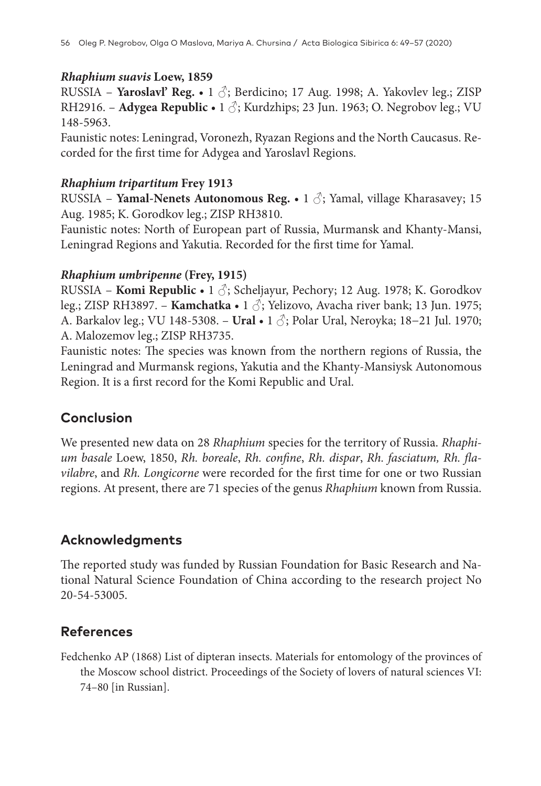#### *Rhaphium suavis* **Loew, 1859**

RUSSIA – **Yaroslavl' Reg.** • 1 ♂; Berdicino; 17 Aug. 1998; A. Yakovlev leg.; ZISP RH2916. – **Adygea Republic** • 1 ♂; Kurdzhips; 23 Jun. 1963; O. Negrobov leg.; VU 148-5963.

Faunistic notes: Leningrad, Voronezh, Ryazan Regions and the North Caucasus. Recorded for the first time for Adygea and Yaroslavl Regions.

#### *Rhaphium tripartitum* **Frey 1913**

RUSSIA – **Yamal-Nenets Autonomous Reg.** • 1 ♂; Yamal, village Kharasavey; 15 Aug. 1985; K. Gorodkov leg.; ZISP RH3810.

Faunistic notes: North of European part of Russia, Murmansk and Khanty-Mansi, Leningrad Regions and Yakutia. Recorded for the first time for Yamal.

### *Rhaphium umbripenne* **(Frey, 1915)**

RUSSIA – **Komi Republic** • 1 ♂; Scheljayur, Pechory; 12 Aug. 1978; K. Gorodkov leg.; ZISP RH3897. – **Kamchatka** • 1 ♂; Yelizovo, Avacha river bank; 13 Jun. 1975; A. Barkalov leg.; VU 148-5308. – **Ural** • 1 ♂; Polar Ural, Neroyka; 18−21 Jul. 1970; A. Malozemov leg.; ZISP RH3735.

Faunistic notes: The species was known from the northern regions of Russia, the Leningrad and Murmansk regions, Yakutia and the Khanty-Mansiysk Autonomous Region. It is a first record for the Komi Republic and Ural.

# **Conclusion**

We presented new data on 28 *Rhaphium* species for the territory of Russia. *Rhaphium basale* Loew, 1850, *Rh. boreale*, *Rh. confine*, *Rh. dispar*, *Rh. fasciatum, Rh. flavilabre*, and *Rh. Longicorne* were recorded for the first time for one or two Russian regions. At present, there are 71 species of the genus *Rhaphium* known from Russia.

# **Acknowledgments**

The reported study was funded by Russian Foundation for Basic Research and National Natural Science Foundation of China according to the research project No 20-54-53005.

### **References**

Fedchenko AP (1868) List of dipteran insects. Materials for entomology of the provinces of the Moscow school district. Proceedings of the Society of lovers of natural sciences VI: 74–80 [in Russian].